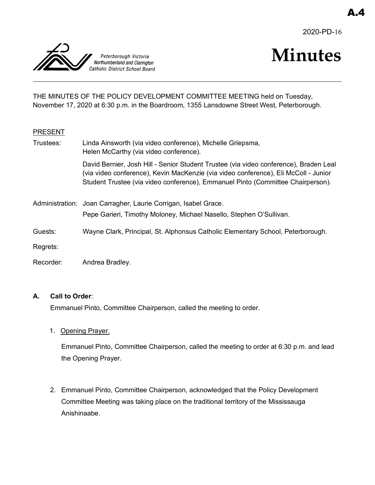2020-PD-16



# **Minutes**

THE MINUTES OF THE POLICY DEVELOPMENT COMMITTEE MEETING held on Tuesday, November 17, 2020 at 6:30 p.m. in the Boardroom, 1355 Lansdowne Street West, Peterborough.

#### PRESENT

| Trustees: | Linda Ainsworth (via video conference), Michelle Griepsma,<br>Helen McCarthy (via video conference).                                                                                                                                                            |
|-----------|-----------------------------------------------------------------------------------------------------------------------------------------------------------------------------------------------------------------------------------------------------------------|
|           | David Bernier, Josh Hill - Senior Student Trustee (via video conference), Braden Leal<br>(via video conference), Kevin MacKenzie (via video conference), Eli McColl - Junior<br>Student Trustee (via video conference), Emmanuel Pinto (Committee Chairperson). |
|           | Administration: Joan Carragher, Laurie Corrigan, Isabel Grace.                                                                                                                                                                                                  |
|           | Pepe Garieri, Timothy Moloney, Michael Nasello, Stephen O'Sullivan.                                                                                                                                                                                             |
| Guests:   | Wayne Clark, Principal, St. Alphonsus Catholic Elementary School, Peterborough.                                                                                                                                                                                 |
| Regrets:  |                                                                                                                                                                                                                                                                 |

Recorder: Andrea Bradley.

#### **A. Call to Order**:

Emmanuel Pinto, Committee Chairperson, called the meeting to order.

1. Opening Prayer.

Emmanuel Pinto, Committee Chairperson, called the meeting to order at 6:30 p.m. and lead the Opening Prayer.

2. Emmanuel Pinto, Committee Chairperson, acknowledged that the Policy Development Committee Meeting was taking place on the traditional territory of the Mississauga Anishinaabe.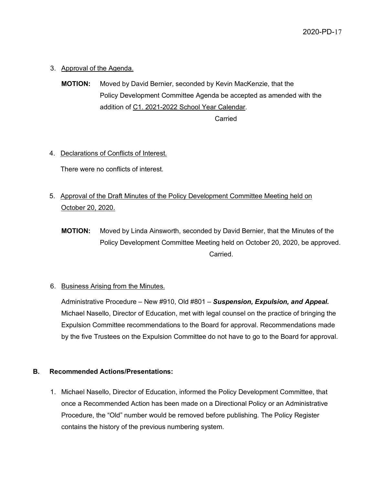3. Approval of the Agenda.

**MOTION:** Moved by David Bernier, seconded by Kevin MacKenzie, that the Policy Development Committee Agenda be accepted as amended with the addition of C1. 2021-2022 School Year Calendar.

**Carried** 

#### 4. Declarations of Conflicts of Interest.

There were no conflicts of interest.

- 5. Approval of the Draft Minutes of the Policy Development Committee Meeting held on October 20, 2020.
	- **MOTION:** Moved by Linda Ainsworth, seconded by David Bernier, that the Minutes of the Policy Development Committee Meeting held on October 20, 2020, be approved. **Carried**

#### 6. Business Arising from the Minutes.

Administrative Procedure – New #910, Old #801 – *Suspension, Expulsion, and Appeal.* Michael Nasello, Director of Education, met with legal counsel on the practice of bringing the Expulsion Committee recommendations to the Board for approval. Recommendations made by the five Trustees on the Expulsion Committee do not have to go to the Board for approval.

#### **B. Recommended Actions/Presentations:**

1. Michael Nasello, Director of Education, informed the Policy Development Committee, that once a Recommended Action has been made on a Directional Policy or an Administrative Procedure, the "Old" number would be removed before publishing. The Policy Register contains the history of the previous numbering system.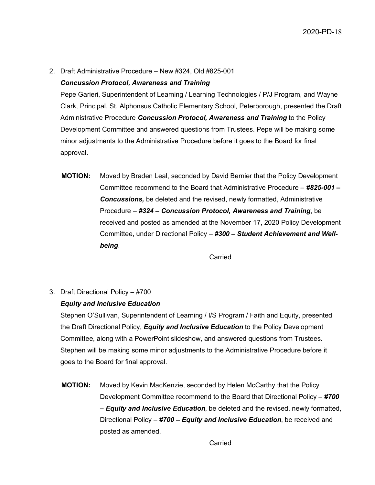2. Draft Administrative Procedure – New #324, Old #825-001

#### *Concussion Protocol, Awareness and Training*

Pepe Garieri, Superintendent of Learning / Learning Technologies / P/J Program, and Wayne Clark, Principal, St. Alphonsus Catholic Elementary School, Peterborough, presented the Draft Administrative Procedure *Concussion Protocol, Awareness and Training* to the Policy Development Committee and answered questions from Trustees. Pepe will be making some minor adjustments to the Administrative Procedure before it goes to the Board for final approval.

**MOTION:** Moved by Braden Leal, seconded by David Bernier that the Policy Development Committee recommend to the Board that Administrative Procedure – *#825-001 – Concussions,* be deleted and the revised, newly formatted, Administrative Procedure – *#324 – Concussion Protocol, Awareness and Training*, be received and posted as amended at the November 17, 2020 Policy Development Committee, under Directional Policy – *#300 – Student Achievement and Wellbeing*.

Carried

3. Draft Directional Policy – #700

#### *Equity and Inclusive Education*

Stephen O'Sullivan, Superintendent of Learning / I/S Program / Faith and Equity, presented the Draft Directional Policy, *Equity and Inclusive Education* to the Policy Development Committee, along with a PowerPoint slideshow, and answered questions from Trustees. Stephen will be making some minor adjustments to the Administrative Procedure before it goes to the Board for final approval.

**MOTION:** Moved by Kevin MacKenzie, seconded by Helen McCarthy that the Policy Development Committee recommend to the Board that Directional Policy – *#700 – Equity and Inclusive Education*, be deleted and the revised, newly formatted, Directional Policy – *#700 – Equity and Inclusive Education*, be received and posted as amended.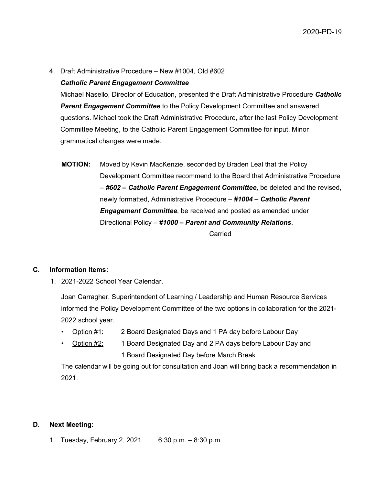4. Draft Administrative Procedure – New #1004, Old #602

#### *Catholic Parent Engagement Committee*

Michael Nasello, Director of Education, presented the Draft Administrative Procedure *Catholic*  **Parent Engagement Committee** to the Policy Development Committee and answered questions. Michael took the Draft Administrative Procedure, after the last Policy Development Committee Meeting, to the Catholic Parent Engagement Committee for input. Minor grammatical changes were made.

**MOTION:** Moved by Kevin MacKenzie, seconded by Braden Leal that the Policy Development Committee recommend to the Board that Administrative Procedure – *#602 – Catholic Parent Engagement Committee,* be deleted and the revised, newly formatted, Administrative Procedure – *#1004 – Catholic Parent Engagement Committee*, be received and posted as amended under Directional Policy – *#1000 – Parent and Community Relations*. Carried

#### **C. Information Items:**

1. 2021-2022 School Year Calendar.

Joan Carragher, Superintendent of Learning / Leadership and Human Resource Services informed the Policy Development Committee of the two options in collaboration for the 2021- 2022 school year.

- Option #1: 2 Board Designated Days and 1 PA day before Labour Day
- Option #2: 1 Board Designated Day and 2 PA days before Labour Day and 1 Board Designated Day before March Break

The calendar will be going out for consultation and Joan will bring back a recommendation in 2021.

#### **D. Next Meeting:**

1. Tuesday, February 2, 2021 6:30 p.m. – 8:30 p.m.